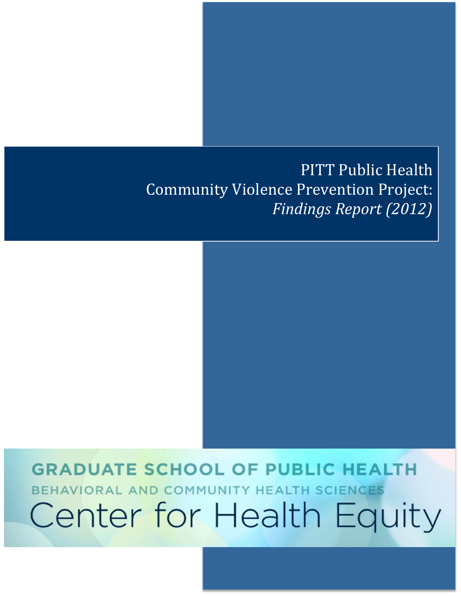# PITT Public Health Community Violence Prevention Project: *Findings Report (2012)*

# **GRADUATE SCHOOL OF PUBLIC HEALTH** BEHAVIORAL AND COMMUNITY HEALTH SCIENCES Center for Health Equity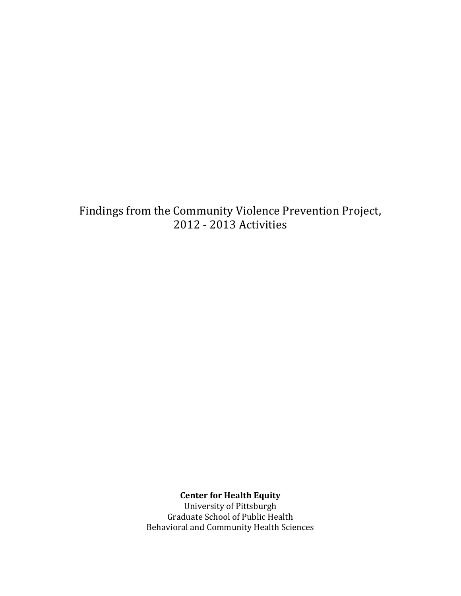Findings from the Community Violence Prevention Project, 2012 - 2013 Activities

**Center for Health Equity**

University of Pittsburgh Graduate School of Public Health Behavioral and Community Health Sciences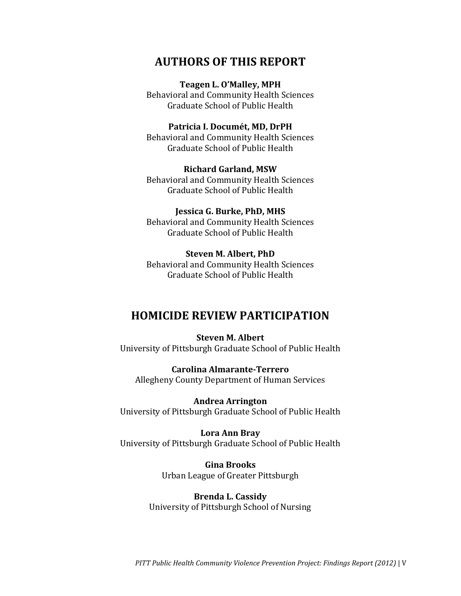## **AUTHORS OF THIS REPORT**

#### **Teagen L. O'Malley, MPH**

Behavioral and Community Health Sciences Graduate School of Public Health

#### **Patricia I. Documét, MD, DrPH**

Behavioral and Community Health Sciences Graduate School of Public Health

#### **Richard Garland, MSW**

Behavioral and Community Health Sciences Graduate School of Public Health

#### **Jessica G. Burke, PhD, MHS**

Behavioral and Community Health Sciences Graduate School of Public Health

#### **Steven M. Albert, PhD**

Behavioral and Community Health Sciences Graduate School of Public Health

### **HOMICIDE REVIEW PARTICIPATION**

**Steven M. Albert** University of Pittsburgh Graduate School of Public Health

**Carolina Almarante-Terrero** Allegheny County Department of Human Services

**Andrea Arrington**  University of Pittsburgh Graduate School of Public Health

**Lora Ann Bray**  University of Pittsburgh Graduate School of Public Health

> **Gina Brooks** Urban League of Greater Pittsburgh

**Brenda L. Cassidy**  University of Pittsburgh School of Nursing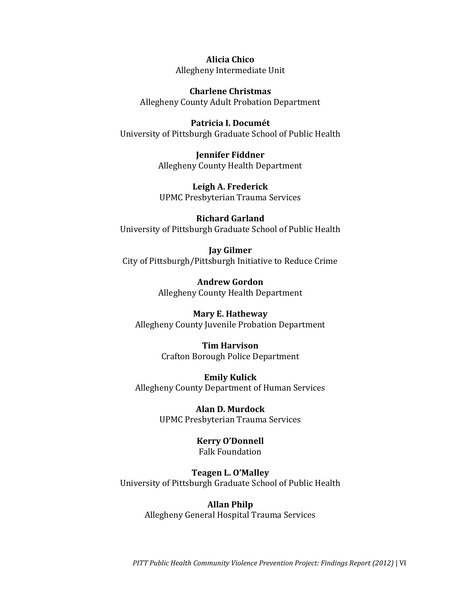**Alicia Chico** Allegheny Intermediate Unit

**Charlene Christmas** Allegheny County Adult Probation Department

**Patricia I. Documét** University of Pittsburgh Graduate School of Public Health

> **Jennifer Fiddner** Allegheny County Health Department

**Leigh A. Frederick** UPMC Presbyterian Trauma Services

**Richard Garland** University of Pittsburgh Graduate School of Public Health

**Jay Gilmer** City of Pittsburgh/Pittsburgh Initiative to Reduce Crime

> **Andrew Gordon**  Allegheny County Health Department

**Mary E. Hatheway**  Allegheny County Juvenile Probation Department

> **Tim Harvison** Crafton Borough Police Department

**Emily Kulick**  Allegheny County Department of Human Services

> **Alan D. Murdock** UPMC Presbyterian Trauma Services

> > **Kerry O'Donnell**  Falk Foundation

**Teagen L. O'Malley** University of Pittsburgh Graduate School of Public Health

> **Allan Philp**  Allegheny General Hospital Trauma Services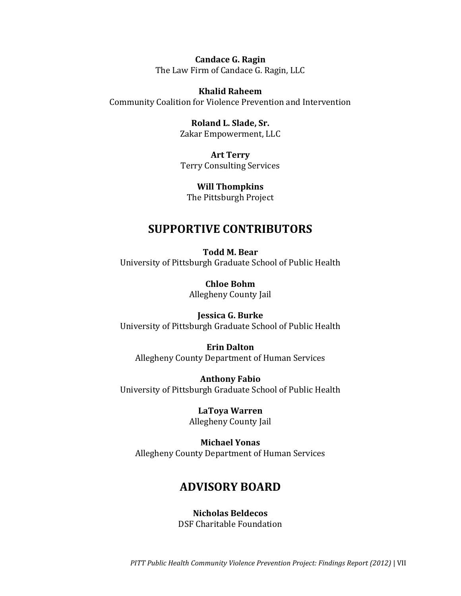**Candace G. Ragin** The Law Firm of Candace G. Ragin, LLC

**Khalid Raheem**  Community Coalition for Violence Prevention and Intervention

> **Roland L. Slade, Sr.**  Zakar Empowerment, LLC

**Art Terry** Terry Consulting Services

**Will Thompkins** The Pittsburgh Project

## **SUPPORTIVE CONTRIBUTORS**

**Todd M. Bear** University of Pittsburgh Graduate School of Public Health

> **Chloe Bohm** Allegheny County Jail

**Jessica G. Burke** University of Pittsburgh Graduate School of Public Health

**Erin Dalton**  Allegheny County Department of Human Services

**Anthony Fabio**  University of Pittsburgh Graduate School of Public Health

> **LaToya Warren** Allegheny County Jail

**Michael Yonas** Allegheny County Department of Human Services

# **ADVISORY BOARD**

**Nicholas Beldecos** DSF Charitable Foundation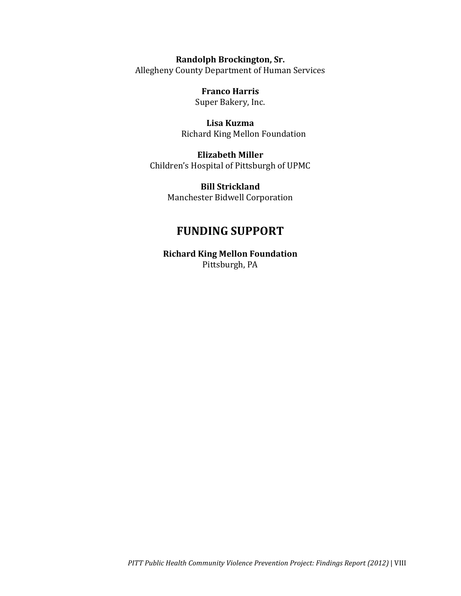**Randolph Brockington, Sr.** Allegheny County Department of Human Services

> **Franco Harris** Super Bakery, Inc.

**Lisa Kuzma**  Richard King Mellon Foundation

**Elizabeth Miller** Children's Hospital of Pittsburgh of UPMC

> **Bill Strickland** Manchester Bidwell Corporation

# **FUNDING SUPPORT**

**Richard King Mellon Foundation** Pittsburgh, PA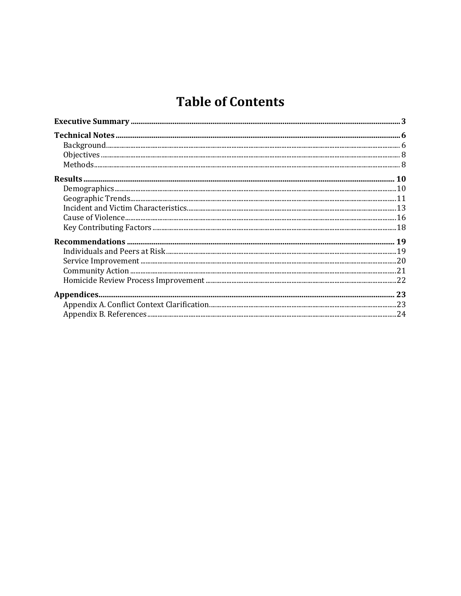# **Table of Contents**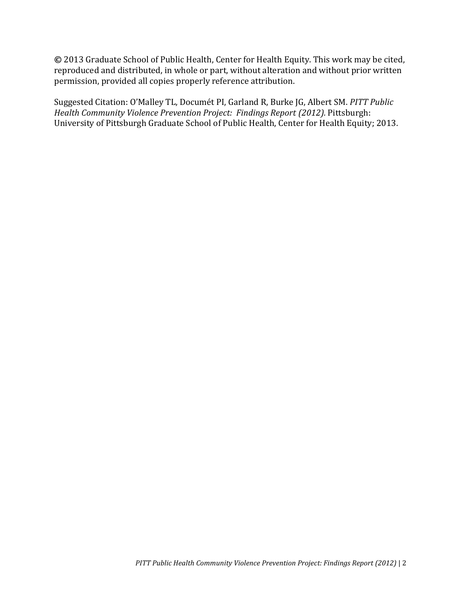**©** 2013 Graduate School of Public Health, Center for Health Equity. This work may be cited, reproduced and distributed, in whole or part, without alteration and without prior written permission, provided all copies properly reference attribution.

Suggested Citation: O'Malley TL, Documét PI, Garland R, Burke JG, Albert SM. *PITT Public Health Community Violence Prevention Project: Findings Report (2012).* Pittsburgh: University of Pittsburgh Graduate School of Public Health, Center for Health Equity; 2013.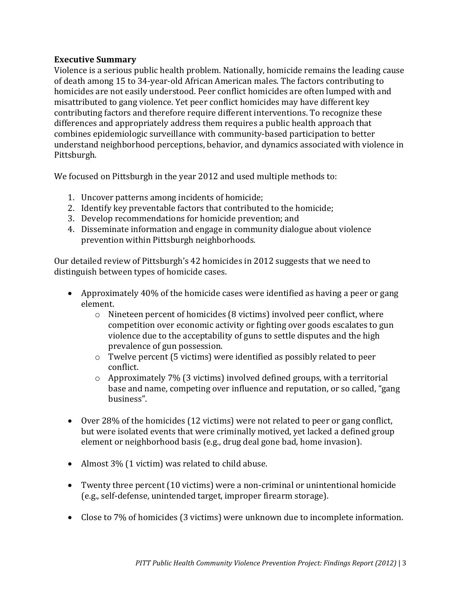#### <span id="page-10-0"></span>**Executive Summary**

Violence is a serious public health problem. Nationally, homicide remains the leading cause of death among 15 to 34-year-old African American males. The factors contributing to homicides are not easily understood. Peer conflict homicides are often lumped with and misattributed to gang violence. Yet peer conflict homicides may have different key contributing factors and therefore require different interventions. To recognize these differences and appropriately address them requires a public health approach that combines epidemiologic surveillance with community-based participation to better understand neighborhood perceptions, behavior, and dynamics associated with violence in Pittsburgh.

We focused on Pittsburgh in the year 2012 and used multiple methods to:

- 1. Uncover patterns among incidents of homicide;
- 2. Identify key preventable factors that contributed to the homicide;
- 3. Develop recommendations for homicide prevention; and
- 4. Disseminate information and engage in community dialogue about violence prevention within Pittsburgh neighborhoods.

Our detailed review of Pittsburgh's 42 homicides in 2012 suggests that we need to distinguish between types of homicide cases.

- Approximately 40% of the homicide cases were identified as having a peer or gang element.
	- o Nineteen percent of homicides (8 victims) involved peer conflict, where competition over economic activity or fighting over goods escalates to gun violence due to the acceptability of guns to settle disputes and the high prevalence of gun possession.
	- o Twelve percent (5 victims) were identified as possibly related to peer conflict.
	- $\circ$  Approximately 7% (3 victims) involved defined groups, with a territorial base and name, competing over influence and reputation, or so called, "gang business".
- Over 28% of the homicides (12 victims) were not related to peer or gang conflict, but were isolated events that were criminally motived, yet lacked a defined group element or neighborhood basis (e.g., drug deal gone bad, home invasion).
- Almost 3% (1 victim) was related to child abuse.
- Twenty three percent (10 victims) were a non-criminal or unintentional homicide (e.g., self-defense, unintended target, improper firearm storage).
- Close to 7% of homicides (3 victims) were unknown due to incomplete information.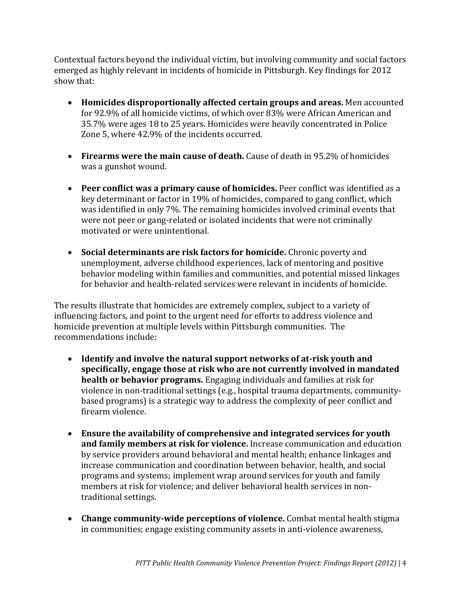Contextual factors beyond the individual victim, but involving community and social factors emerged as highly relevant in incidents of homicide in Pittsburgh. Key findings for 2012 show that:

- **Homicides disproportionally affected certain groups and areas.** Men accounted for 92.9% of all homicide victims, of which over 83% were African American and 35.7% were ages 18 to 25 years. Homicides were heavily concentrated in Police Zone 5, where 42.9% of the incidents occurred.
- **Firearms were the main cause of death.** Cause of death in 95.2% of homicides was a gunshot wound.
- **Peer conflict was a primary cause of homicides.** Peer conflict was identified as a key determinant or factor in 19% of homicides, compared to gang conflict, which was identified in only 7%. The remaining homicides involved criminal events that were not peer or gang-related or isolated incidents that were not criminally motivated or were unintentional.
- **Social determinants are risk factors for homicide.** Chronic poverty and unemployment, adverse childhood experiences, lack of mentoring and positive behavior modeling within families and communities, and potential missed linkages for behavior and health-related services were relevant in incidents of homicide.

The results illustrate that homicides are extremely complex, subject to a variety of influencing factors, and point to the urgent need for efforts to address violence and homicide prevention at multiple levels within Pittsburgh communities. The recommendations include:

- **Identify and involve the natural support networks of at-risk youth and specifically, engage those at risk who are not currently involved in mandated health or behavior programs.** Engaging individuals and families at risk for violence in non-traditional settings (e.g., hospital trauma departments, communitybased programs) is a strategic way to address the complexity of peer conflict and firearm violence.
- **Ensure the availability of comprehensive and integrated services for youth and family members at risk for violence.** Increase communication and education by service providers around behavioral and mental health; enhance linkages and increase communication and coordination between behavior, health, and social programs and systems; implement wrap around services for youth and family members at risk for violence; and deliver behavioral health services in nontraditional settings.
- **Change community-wide perceptions of violence.** Combat mental health stigma in communities; engage existing community assets in anti-violence awareness,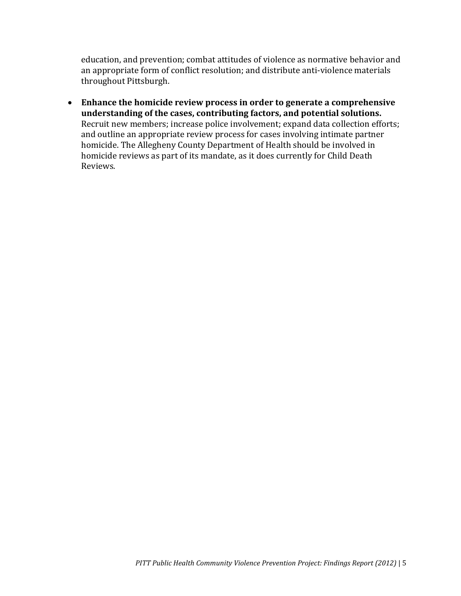education, and prevention; combat attitudes of violence as normative behavior and an appropriate form of conflict resolution; and distribute anti-violence materials throughout Pittsburgh.

 **Enhance the homicide review process in order to generate a comprehensive understanding of the cases, contributing factors, and potential solutions.** Recruit new members; increase police involvement; expand data collection efforts; and outline an appropriate review process for cases involving intimate partner homicide. The Allegheny County Department of Health should be involved in homicide reviews as part of its mandate, as it does currently for Child Death Reviews.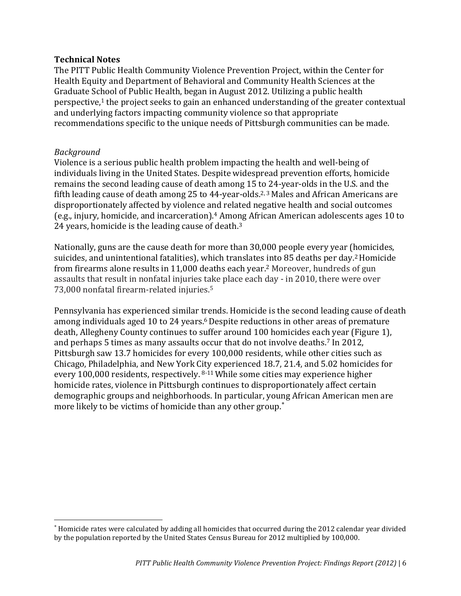#### <span id="page-13-0"></span>**Technical Notes**

The PITT Public Health Community Violence Prevention Project, within the Center for Health Equity and Department of Behavioral and Community Health Sciences at the Graduate School of Public Health, began in August 2012. Utilizing a public health perspective, <sup>1</sup> the project seeks to gain an enhanced understanding of the greater contextual and underlying factors impacting community violence so that appropriate recommendations specific to the unique needs of Pittsburgh communities can be made.

#### <span id="page-13-1"></span>*Background*

 $\overline{\phantom{a}}$ 

Violence is a serious public health problem impacting the health and well-being of individuals living in the United States. Despite widespread prevention efforts, homicide remains the second leading cause of death among 15 to 24-year-olds in the U.S. and the fifth leading cause of death among 25 to 44-year-olds.<sup>2, 3</sup> Males and African Americans are disproportionately affected by violence and related negative health and social outcomes (e.g., injury, homicide, and incarceration).<sup>4</sup> Among African American adolescents ages 10 to 24 years, homicide is the leading cause of death.<sup>3</sup>

Nationally, guns are the cause death for more than 30,000 people every year (homicides, suicides, and unintentional fatalities), which translates into 85 deaths per day.2Homicide from firearms alone results in 11,000 deaths each year. <sup>2</sup> Moreover, hundreds of gun assaults that result in nonfatal injuries take place each day - in 2010, there were over 73,000 nonfatal firearm-related injuries. 5

Pennsylvania has experienced similar trends. Homicide is the second leading cause of death among individuals aged 10 to 24 years. <sup>6</sup>Despite reductions in other areas of premature death, Allegheny County continues to suffer around 100 homicides each year (Figure 1), and perhaps 5 times as many assaults occur that do not involve deaths. <sup>7</sup> In 2012, Pittsburgh saw 13.7 homicides for every 100,000 residents, while other cities such as Chicago, Philadelphia, and New York City experienced 18.7, 21.4, and 5.02 homicides for every 100,000 residents, respectively. 8-11 While some cities may experience higher homicide rates, violence in Pittsburgh continues to disproportionately affect certain demographic groups and neighborhoods. In particular, young African American men are more likely to be victims of homicide than any other group.

Homicide rates were calculated by adding all homicides that occurred during the 2012 calendar year divided by the population reported by the United States Census Bureau for 2012 multiplied by 100,000.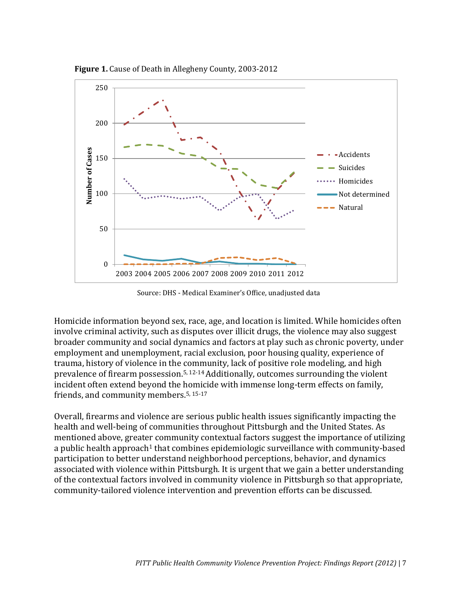

**Figure 1.** Cause of Death in Allegheny County, 2003-2012

Source: DHS - Medical Examiner's Office, unadjusted data

Homicide information beyond sex, race, age, and location is limited. While homicides often involve criminal activity, such as disputes over illicit drugs, the violence may also suggest broader community and social dynamics and factors at play such as chronic poverty, under employment and unemployment, racial exclusion, poor housing quality, experience of trauma, history of violence in the community, lack of positive role modeling, and high prevalence of firearm possession.5, 12-14Additionally, outcomes surrounding the violent incident often extend beyond the homicide with immense long-term effects on family, friends, and community members.5, 15-17

Overall, firearms and violence are serious public health issues significantly impacting the health and well-being of communities throughout Pittsburgh and the United States. As mentioned above, greater community contextual factors suggest the importance of utilizing a public health approach<sup>1</sup> that combines epidemiologic surveillance with community-based participation to better understand neighborhood perceptions, behavior, and dynamics associated with violence within Pittsburgh. It is urgent that we gain a better understanding of the contextual factors involved in community violence in Pittsburgh so that appropriate, community-tailored violence intervention and prevention efforts can be discussed.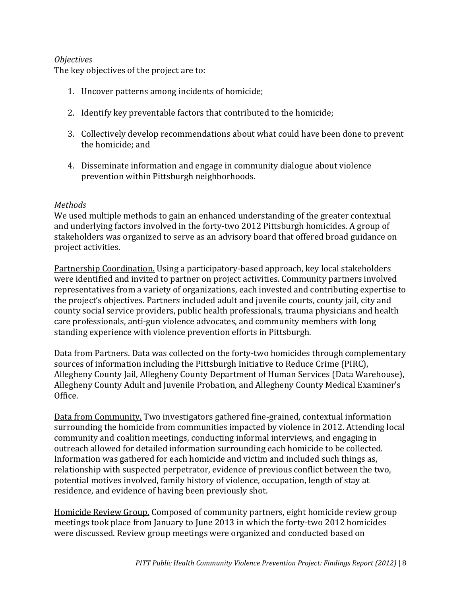#### <span id="page-15-0"></span>*Objectives*

The key objectives of the project are to:

- 1. Uncover patterns among incidents of homicide;
- 2. Identify key preventable factors that contributed to the homicide;
- 3. Collectively develop recommendations about what could have been done to prevent the homicide; and
- 4. Disseminate information and engage in community dialogue about violence prevention within Pittsburgh neighborhoods.

#### <span id="page-15-1"></span>*Methods*

We used multiple methods to gain an enhanced understanding of the greater contextual and underlying factors involved in the forty-two 2012 Pittsburgh homicides. A group of stakeholders was organized to serve as an advisory board that offered broad guidance on project activities.

Partnership Coordination. Using a participatory-based approach, key local stakeholders were identified and invited to partner on project activities. Community partners involved representatives from a variety of organizations, each invested and contributing expertise to the project's objectives. Partners included adult and juvenile courts, county jail, city and county social service providers, public health professionals, trauma physicians and health care professionals, anti-gun violence advocates, and community members with long standing experience with violence prevention efforts in Pittsburgh.

Data from Partners. Data was collected on the forty-two homicides through complementary sources of information including the Pittsburgh Initiative to Reduce Crime (PIRC), Allegheny County Jail, Allegheny County Department of Human Services (Data Warehouse), Allegheny County Adult and Juvenile Probation, and Allegheny County Medical Examiner's Office.

Data from Community. Two investigators gathered fine-grained, contextual information surrounding the homicide from communities impacted by violence in 2012. Attending local community and coalition meetings, conducting informal interviews, and engaging in outreach allowed for detailed information surrounding each homicide to be collected. Information was gathered for each homicide and victim and included such things as, relationship with suspected perpetrator, evidence of previous conflict between the two, potential motives involved, family history of violence, occupation, length of stay at residence, and evidence of having been previously shot.

Homicide Review Group. Composed of community partners, eight homicide review group meetings took place from January to June 2013 in which the forty-two 2012 homicides were discussed. Review group meetings were organized and conducted based on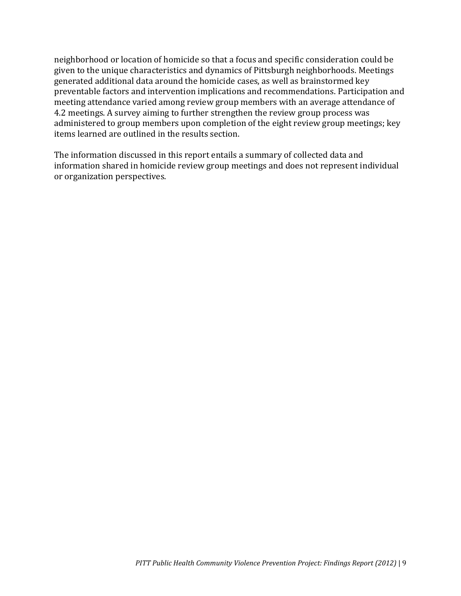neighborhood or location of homicide so that a focus and specific consideration could be given to the unique characteristics and dynamics of Pittsburgh neighborhoods. Meetings generated additional data around the homicide cases, as well as brainstormed key preventable factors and intervention implications and recommendations. Participation and meeting attendance varied among review group members with an average attendance of 4.2 meetings. A survey aiming to further strengthen the review group process was administered to group members upon completion of the eight review group meetings; key items learned are outlined in the results section.

The information discussed in this report entails a summary of collected data and information shared in homicide review group meetings and does not represent individual or organization perspectives.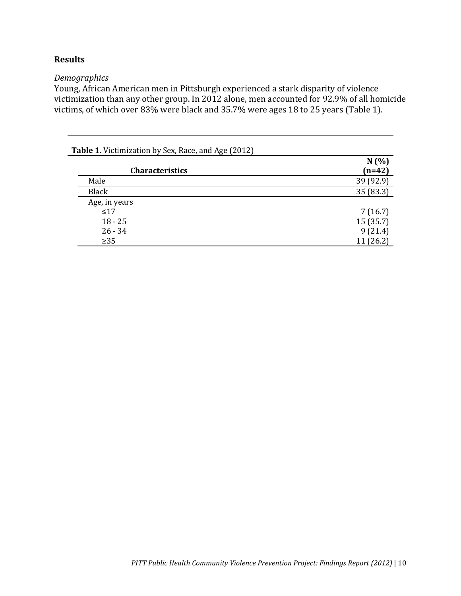#### <span id="page-17-0"></span>**Results**

#### <span id="page-17-1"></span>*Demographics*

Young, African American men in Pittsburgh experienced a stark disparity of violence victimization than any other group. In 2012 alone, men accounted for 92.9% of all homicide victims, of which over 83% were black and 35.7% were ages 18 to 25 years (Table 1).

| <b>Table 1.</b> Victimization by Sex, Race, and Age (2012) |                  |
|------------------------------------------------------------|------------------|
| <b>Characteristics</b>                                     | N(%)<br>$(n=42)$ |
| Male                                                       | 39 (92.9)        |
| <b>Black</b>                                               | 35 (83.3)        |
| Age, in years                                              |                  |
| $\leq 17$                                                  | 7(16.7)          |
| $18 - 25$                                                  | 15(35.7)         |
| $26 - 34$                                                  | 9(21.4)          |
| $\geq 35$                                                  | 11(26.2)         |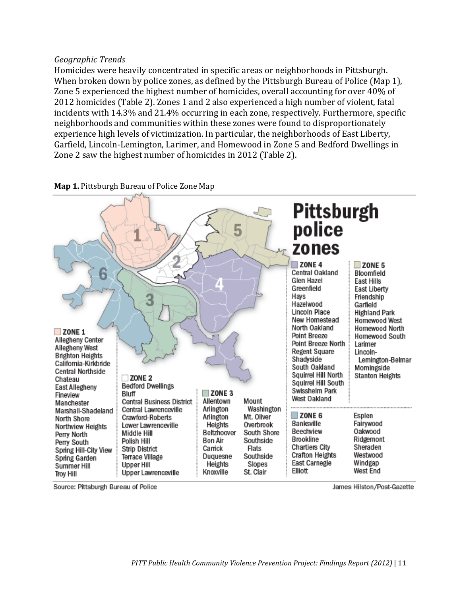#### <span id="page-18-0"></span>*Geographic Trends*

Homicides were heavily concentrated in specific areas or neighborhoods in Pittsburgh. When broken down by police zones, as defined by the Pittsburgh Bureau of Police (Map 1), Zone 5 experienced the highest number of homicides, overall accounting for over 40% of 2012 homicides (Table 2). Zones 1 and 2 also experienced a high number of violent, fatal incidents with 14.3% and 21.4% occurring in each zone, respectively. Furthermore, specific neighborhoods and communities within these zones were found to disproportionately experience high levels of victimization. In particular, the neighborhoods of East Liberty, Garfield, Lincoln-Lemington, Larimer, and Homewood in Zone 5 and Bedford Dwellings in Zone 2 saw the highest number of homicides in 2012 (Table 2).



**Map 1.** Pittsburgh Bureau of Police Zone Map

Source: Pittsburgh Bureau of Police

James Hilston/Post-Gazette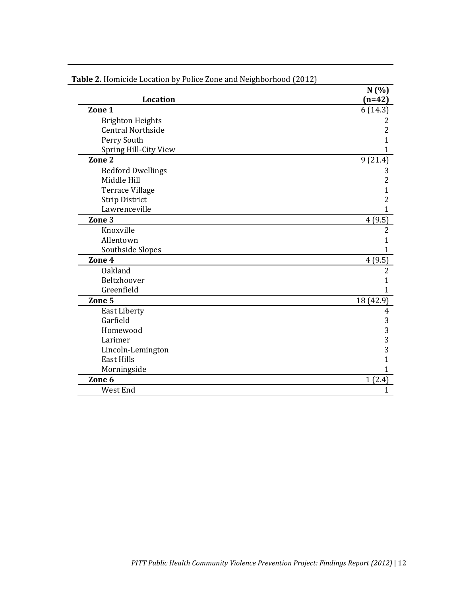|                          | N(%)           |
|--------------------------|----------------|
| <b>Location</b>          | $(n=42)$       |
| Zone 1                   | 6(14.3)        |
| <b>Brighton Heights</b>  | 2              |
| <b>Central Northside</b> | $\overline{c}$ |
| Perry South              | 1              |
| Spring Hill-City View    | 1              |
| Zone <sub>2</sub>        | 9(21.4)        |
| <b>Bedford Dwellings</b> | 3              |
| Middle Hill              | $\overline{2}$ |
| <b>Terrace Village</b>   | $\mathbf{1}$   |
| <b>Strip District</b>    | $\overline{c}$ |
| Lawrenceville            | 1              |
| Zone <sub>3</sub>        | 4(9.5)         |
| Knoxville                | $\overline{2}$ |
| Allentown                | 1              |
| Southside Slopes         | 1              |
| Zone 4                   | 4(9.5)         |
| <b>Oakland</b>           | $\overline{2}$ |
| Beltzhoover              | 1              |
| Greenfield               | 1              |
| Zone 5                   | 18 (42.9)      |
| <b>East Liberty</b>      | $\overline{4}$ |
| Garfield                 | 3              |
| Homewood                 | 3              |
| Larimer                  | 3              |
| Lincoln-Lemington        | 3              |
| <b>East Hills</b>        | 1              |
| Morningside              | 1              |
| Zone <sub>6</sub>        | 1(2.4)         |
| West End                 | $\mathbf{1}$   |

**Table 2.** Homicide Location by Police Zone and Neighborhood (2012)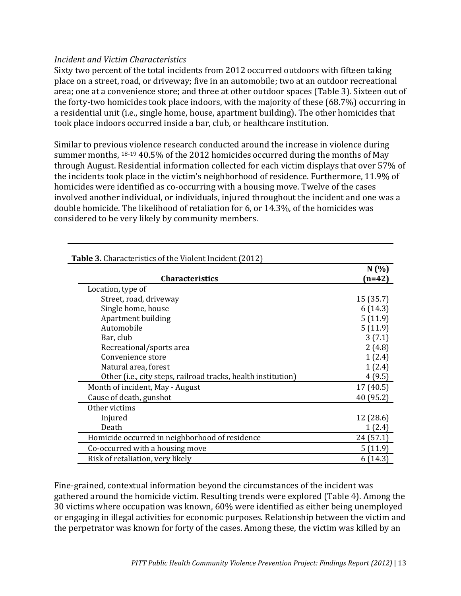#### <span id="page-20-0"></span>*Incident and Victim Characteristics*

Sixty two percent of the total incidents from 2012 occurred outdoors with fifteen taking place on a street, road, or driveway; five in an automobile; two at an outdoor recreational area; one at a convenience store; and three at other outdoor spaces (Table 3). Sixteen out of the forty-two homicides took place indoors, with the majority of these (68.7%) occurring in a residential unit (i.e., single home, house, apartment building). The other homicides that took place indoors occurred inside a bar, club, or healthcare institution.

Similar to previous violence research conducted around the increase in violence during summer months, 18-19 40.5% of the 2012 homicides occurred during the months of May through August. Residential information collected for each victim displays that over 57% of the incidents took place in the victim's neighborhood of residence. Furthermore, 11.9% of homicides were identified as co-occurring with a housing move. Twelve of the cases involved another individual, or individuals, injured throughout the incident and one was a double homicide. The likelihood of retaliation for 6, or 14.3%, of the homicides was considered to be very likely by community members.

| <b>Table 3.</b> Characteristics of the Violent Incident (2012) |                  |  |
|----------------------------------------------------------------|------------------|--|
| <b>Characteristics</b>                                         | N(%)<br>$(n=42)$ |  |
| Location, type of                                              |                  |  |
| Street, road, driveway                                         | 15 (35.7)        |  |
| Single home, house                                             | 6(14.3)          |  |
| Apartment building                                             | 5(11.9)          |  |
| Automobile                                                     | 5(11.9)          |  |
| Bar, club                                                      | 3(7.1)           |  |
| Recreational/sports area                                       | 2(4.8)           |  |
| Convenience store                                              | 1(2.4)           |  |
| Natural area, forest                                           | 1(2.4)           |  |
| Other (i.e., city steps, railroad tracks, health institution)  | 4(9.5)           |  |
| Month of incident, May - August                                | 17 (40.5)        |  |
| Cause of death, gunshot                                        | 40 (95.2)        |  |
| Other victims                                                  |                  |  |
| Injured                                                        | 12 (28.6)        |  |
| Death                                                          | 1(2.4)           |  |
| Homicide occurred in neighborhood of residence                 | 24 (57.1)        |  |
| Co-occurred with a housing move                                | 5(11.9)          |  |
| Risk of retaliation, very likely                               | 6(14.3)          |  |

Fine-grained, contextual information beyond the circumstances of the incident was gathered around the homicide victim. Resulting trends were explored (Table 4). Among the 30 victims where occupation was known, 60% were identified as either being unemployed or engaging in illegal activities for economic purposes. Relationship between the victim and the perpetrator was known for forty of the cases. Among these, the victim was killed by an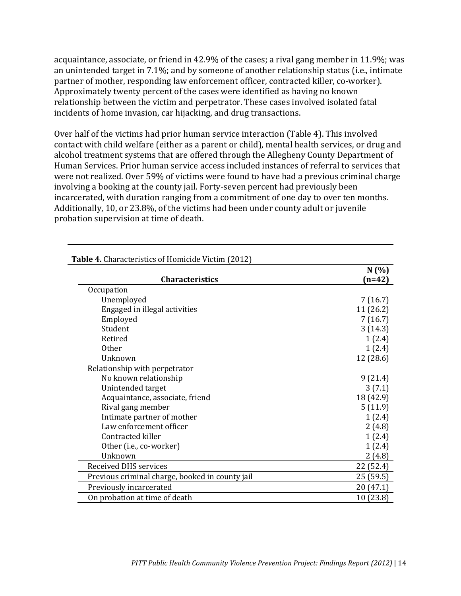acquaintance, associate, or friend in 42.9% of the cases; a rival gang member in 11.9%; was an unintended target in 7.1%; and by someone of another relationship status (i.e., intimate partner of mother, responding law enforcement officer, contracted killer, co-worker). Approximately twenty percent of the cases were identified as having no known relationship between the victim and perpetrator. These cases involved isolated fatal incidents of home invasion, car hijacking, and drug transactions.

Over half of the victims had prior human service interaction (Table 4). This involved contact with child welfare (either as a parent or child), mental health services, or drug and alcohol treatment systems that are offered through the Allegheny County Department of Human Services. Prior human service access included instances of referral to services that were not realized. Over 59% of victims were found to have had a previous criminal charge involving a booking at the county jail. Forty-seven percent had previously been incarcerated, with duration ranging from a commitment of one day to over ten months. Additionally, 10, or 23.8%, of the victims had been under county adult or juvenile probation supervision at time of death.

| able 4. Characteristics of Homicide Victim (2012) | N(%)      |
|---------------------------------------------------|-----------|
| <b>Characteristics</b>                            | $(n=42)$  |
| Occupation                                        |           |
| Unemployed                                        | 7(16.7)   |
| Engaged in illegal activities                     | 11(26.2)  |
| Employed                                          | 7(16.7)   |
| Student                                           | 3(14.3)   |
| Retired                                           | 1(2.4)    |
| <b>Other</b>                                      | 1(2.4)    |
| Unknown                                           | 12 (28.6) |
| Relationship with perpetrator                     |           |
| No known relationship                             | 9(21.4)   |
| Unintended target                                 | 3(7.1)    |
| Acquaintance, associate, friend                   | 18 (42.9) |
| Rival gang member                                 | 5(11.9)   |
| Intimate partner of mother                        | 1(2.4)    |
| Law enforcement officer                           | 2(4.8)    |
| Contracted killer                                 | 1(2.4)    |
| Other (i.e., co-worker)                           | 1(2.4)    |
| Unknown                                           | 2(4.8)    |
| <b>Received DHS services</b>                      | 22 (52.4) |
| Previous criminal charge, booked in county jail   | 25(59.5)  |
| Previously incarcerated                           | 20 (47.1) |
| On probation at time of death                     | 10(23.8)  |

# **Table 4.** Characteristics of Homicide Victim (2012)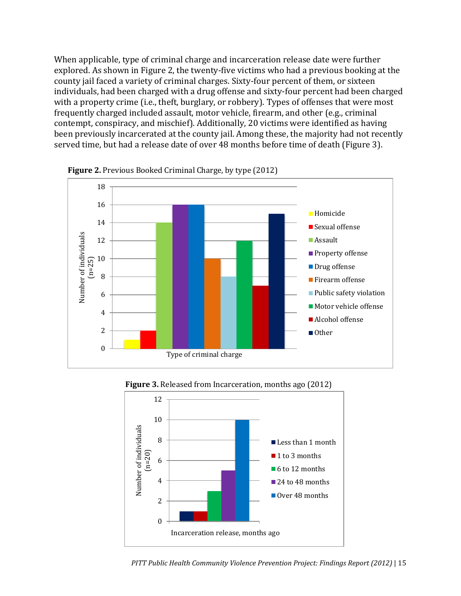When applicable, type of criminal charge and incarceration release date were further explored. As shown in Figure 2, the twenty-five victims who had a previous booking at the county jail faced a variety of criminal charges. Sixty-four percent of them, or sixteen individuals, had been charged with a drug offense and sixty-four percent had been charged with a property crime (i.e., theft, burglary, or robbery). Types of offenses that were most frequently charged included assault, motor vehicle, firearm, and other (e.g., criminal contempt, conspiracy, and mischief). Additionally, 20 victims were identified as having been previously incarcerated at the county jail. Among these, the majority had not recently served time, but had a release date of over 48 months before time of death (Figure 3).



**Figure 2.** Previous Booked Criminal Charge, by type (2012)



**Figure 3.** Released from Incarceration, months ago (2012)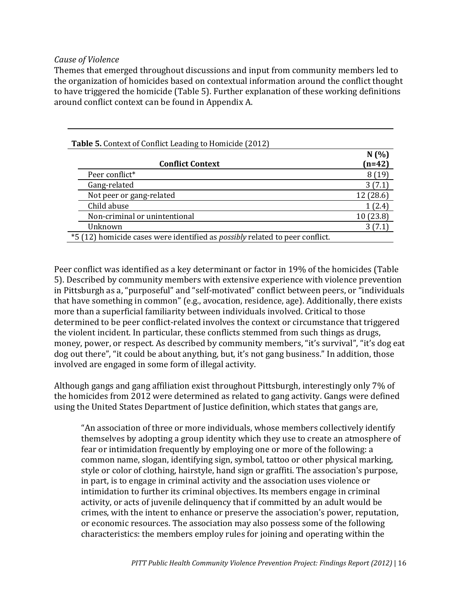#### <span id="page-23-0"></span>*Cause of Violence*

Themes that emerged throughout discussions and input from community members led to the organization of homicides based on contextual information around the conflict thought to have triggered the homicide (Table 5). Further explanation of these working definitions around conflict context can be found in Appendix A.

| <b>Table 5.</b> Context of Conflict Leading to Homicide (2012) |                                                                                     |                  |  |
|----------------------------------------------------------------|-------------------------------------------------------------------------------------|------------------|--|
|                                                                | <b>Conflict Context</b>                                                             | N(%)<br>$(n=42)$ |  |
|                                                                |                                                                                     |                  |  |
|                                                                | Peer conflict*                                                                      | 8(19)            |  |
|                                                                | Gang-related                                                                        | 3(7.1)           |  |
|                                                                | Not peer or gang-related                                                            | 12 (28.6)        |  |
|                                                                | Child abuse                                                                         | 1(2.4)           |  |
|                                                                | Non-criminal or unintentional                                                       | 10(23.8)         |  |
|                                                                | Unknown                                                                             | 3(7.1)           |  |
|                                                                | *5 (12) homicide cases were identified as <i>possibly</i> related to peer conflict. |                  |  |

Peer conflict was identified as a key determinant or factor in 19% of the homicides (Table 5). Described by community members with extensive experience with violence prevention in Pittsburgh as a, "purposeful" and "self-motivated" conflict between peers, or "individuals that have something in common" (e.g., avocation, residence, age). Additionally, there exists more than a superficial familiarity between individuals involved. Critical to those determined to be peer conflict-related involves the context or circumstance that triggered the violent incident. In particular, these conflicts stemmed from such things as drugs, money, power, or respect. As described by community members, "it's survival", "it's dog eat dog out there", "it could be about anything, but, it's not gang business." In addition, those involved are engaged in some form of illegal activity.

Although gangs and gang affiliation exist throughout Pittsburgh, interestingly only 7% of the homicides from 2012 were determined as related to gang activity. Gangs were defined using the United States Department of Justice definition, which states that gangs are,

"An association of three or more individuals, whose members collectively identify themselves by adopting a group identity which they use to create an atmosphere of fear or intimidation frequently by employing one or more of the following: a common name, slogan, identifying sign, symbol, tattoo or other physical marking, style or color of clothing, hairstyle, hand sign or graffiti. The association's purpose, in part, is to engage in criminal activity and the association uses violence or intimidation to further its criminal objectives. Its members engage in criminal activity, or acts of juvenile delinquency that if committed by an adult would be crimes, with the intent to enhance or preserve the association's power, reputation, or economic resources. The association may also possess some of the following characteristics: the members employ rules for joining and operating within the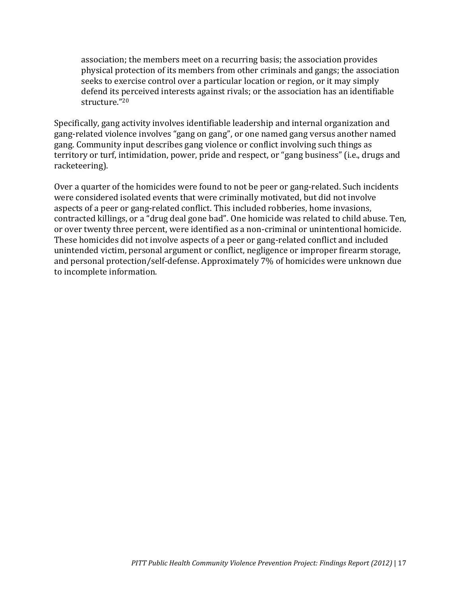association; the members meet on a recurring basis; the association provides physical protection of its members from other criminals and gangs; the association seeks to exercise control over a particular location or region, or it may simply defend its perceived interests against rivals; or the association has an identifiable structure." 20

Specifically, gang activity involves identifiable leadership and internal organization and gang-related violence involves "gang on gang", or one named gang versus another named gang. Community input describes gang violence or conflict involving such things as territory or turf, intimidation, power, pride and respect, or "gang business" (i.e., drugs and racketeering).

Over a quarter of the homicides were found to not be peer or gang-related. Such incidents were considered isolated events that were criminally motivated, but did not involve aspects of a peer or gang-related conflict. This included robberies, home invasions, contracted killings, or a "drug deal gone bad". One homicide was related to child abuse. Ten, or over twenty three percent, were identified as a non-criminal or unintentional homicide. These homicides did not involve aspects of a peer or gang-related conflict and included unintended victim, personal argument or conflict, negligence or improper firearm storage, and personal protection/self-defense. Approximately 7% of homicides were unknown due to incomplete information.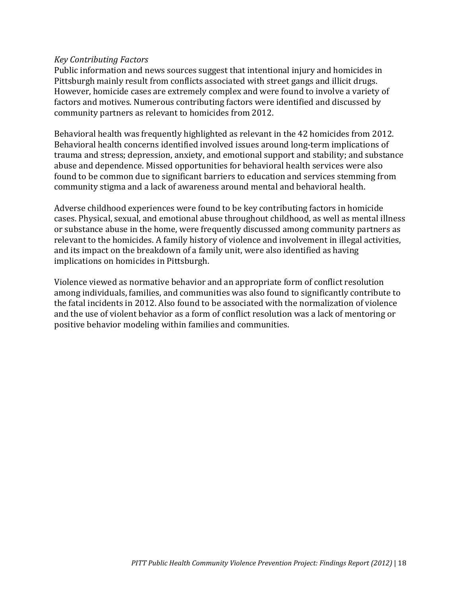#### <span id="page-25-0"></span>*Key Contributing Factors*

Public information and news sources suggest that intentional injury and homicides in Pittsburgh mainly result from conflicts associated with street gangs and illicit drugs. However, homicide cases are extremely complex and were found to involve a variety of factors and motives. Numerous contributing factors were identified and discussed by community partners as relevant to homicides from 2012.

Behavioral health was frequently highlighted as relevant in the 42 homicides from 2012. Behavioral health concerns identified involved issues around long-term implications of trauma and stress; depression, anxiety, and emotional support and stability; and substance abuse and dependence. Missed opportunities for behavioral health services were also found to be common due to significant barriers to education and services stemming from community stigma and a lack of awareness around mental and behavioral health.

Adverse childhood experiences were found to be key contributing factors in homicide cases. Physical, sexual, and emotional abuse throughout childhood, as well as mental illness or substance abuse in the home, were frequently discussed among community partners as relevant to the homicides. A family history of violence and involvement in illegal activities, and its impact on the breakdown of a family unit, were also identified as having implications on homicides in Pittsburgh.

Violence viewed as normative behavior and an appropriate form of conflict resolution among individuals, families, and communities was also found to significantly contribute to the fatal incidents in 2012. Also found to be associated with the normalization of violence and the use of violent behavior as a form of conflict resolution was a lack of mentoring or positive behavior modeling within families and communities.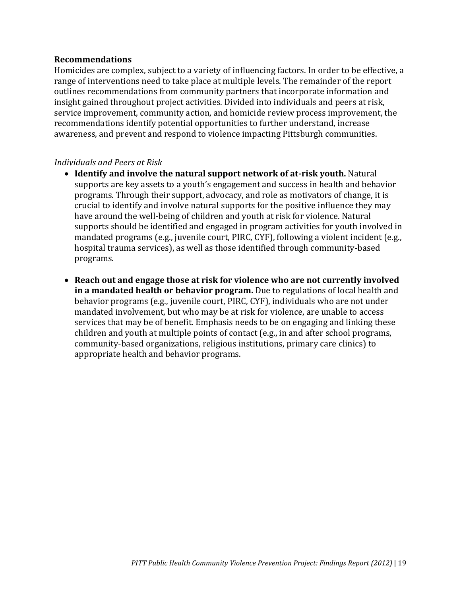#### <span id="page-26-0"></span>**Recommendations**

Homicides are complex, subject to a variety of influencing factors. In order to be effective, a range of interventions need to take place at multiple levels. The remainder of the report outlines recommendations from community partners that incorporate information and insight gained throughout project activities. Divided into individuals and peers at risk, service improvement, community action, and homicide review process improvement, the recommendations identify potential opportunities to further understand, increase awareness, and prevent and respond to violence impacting Pittsburgh communities.

#### <span id="page-26-1"></span>*Individuals and Peers at Risk*

- **Identify and involve the natural support network of at-risk youth.** Natural supports are key assets to a youth's engagement and success in health and behavior programs. Through their support, advocacy, and role as motivators of change, it is crucial to identify and involve natural supports for the positive influence they may have around the well-being of children and youth at risk for violence. Natural supports should be identified and engaged in program activities for youth involved in mandated programs (e.g., juvenile court, PIRC, CYF), following a violent incident (e.g., hospital trauma services), as well as those identified through community-based programs.
- **Reach out and engage those at risk for violence who are not currently involved in a mandated health or behavior program.** Due to regulations of local health and behavior programs (e.g., juvenile court, PIRC, CYF), individuals who are not under mandated involvement, but who may be at risk for violence, are unable to access services that may be of benefit. Emphasis needs to be on engaging and linking these children and youth at multiple points of contact (e.g., in and after school programs, community-based organizations, religious institutions, primary care clinics) to appropriate health and behavior programs.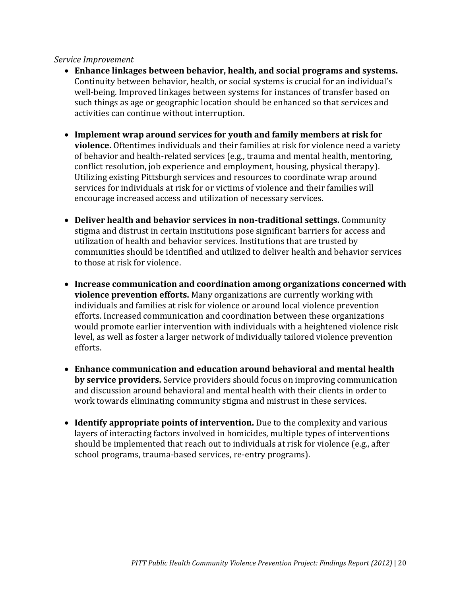#### <span id="page-27-0"></span>*Service Improvement*

- **Enhance linkages between behavior, health, and social programs and systems.**  Continuity between behavior, health, or social systems is crucial for an individual's well-being. Improved linkages between systems for instances of transfer based on such things as age or geographic location should be enhanced so that services and activities can continue without interruption.
- **Implement wrap around services for youth and family members at risk for violence.** Oftentimes individuals and their families at risk for violence need a variety of behavior and health-related services (e.g., trauma and mental health, mentoring, conflict resolution, job experience and employment, housing, physical therapy). Utilizing existing Pittsburgh services and resources to coordinate wrap around services for individuals at risk for or victims of violence and their families will encourage increased access and utilization of necessary services.
- **Deliver health and behavior services in non-traditional settings.** Community stigma and distrust in certain institutions pose significant barriers for access and utilization of health and behavior services. Institutions that are trusted by communities should be identified and utilized to deliver health and behavior services to those at risk for violence.
- **Increase communication and coordination among organizations concerned with violence prevention efforts.** Many organizations are currently working with individuals and families at risk for violence or around local violence prevention efforts. Increased communication and coordination between these organizations would promote earlier intervention with individuals with a heightened violence risk level, as well as foster a larger network of individually tailored violence prevention efforts.
- **Enhance communication and education around behavioral and mental health by service providers.** Service providers should focus on improving communication and discussion around behavioral and mental health with their clients in order to work towards eliminating community stigma and mistrust in these services.
- **Identify appropriate points of intervention.** Due to the complexity and various layers of interacting factors involved in homicides, multiple types of interventions should be implemented that reach out to individuals at risk for violence (e.g., after school programs, trauma-based services, re-entry programs).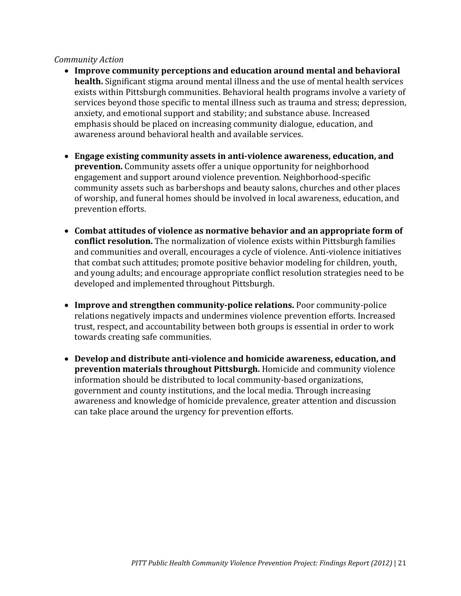#### <span id="page-28-0"></span>*Community Action*

- **Improve community perceptions and education around mental and behavioral health.** Significant stigma around mental illness and the use of mental health services exists within Pittsburgh communities. Behavioral health programs involve a variety of services beyond those specific to mental illness such as trauma and stress; depression, anxiety, and emotional support and stability; and substance abuse. Increased emphasis should be placed on increasing community dialogue, education, and awareness around behavioral health and available services.
- **Engage existing community assets in anti-violence awareness, education, and prevention.** Community assets offer a unique opportunity for neighborhood engagement and support around violence prevention. Neighborhood-specific community assets such as barbershops and beauty salons, churches and other places of worship, and funeral homes should be involved in local awareness, education, and prevention efforts.
- **Combat attitudes of violence as normative behavior and an appropriate form of conflict resolution.** The normalization of violence exists within Pittsburgh families and communities and overall, encourages a cycle of violence. Anti-violence initiatives that combat such attitudes; promote positive behavior modeling for children, youth, and young adults; and encourage appropriate conflict resolution strategies need to be developed and implemented throughout Pittsburgh.
- **Improve and strengthen community-police relations.** Poor community-police relations negatively impacts and undermines violence prevention efforts. Increased trust, respect, and accountability between both groups is essential in order to work towards creating safe communities.
- **Develop and distribute anti-violence and homicide awareness, education, and prevention materials throughout Pittsburgh.** Homicide and community violence information should be distributed to local community-based organizations, government and county institutions, and the local media. Through increasing awareness and knowledge of homicide prevalence, greater attention and discussion can take place around the urgency for prevention efforts.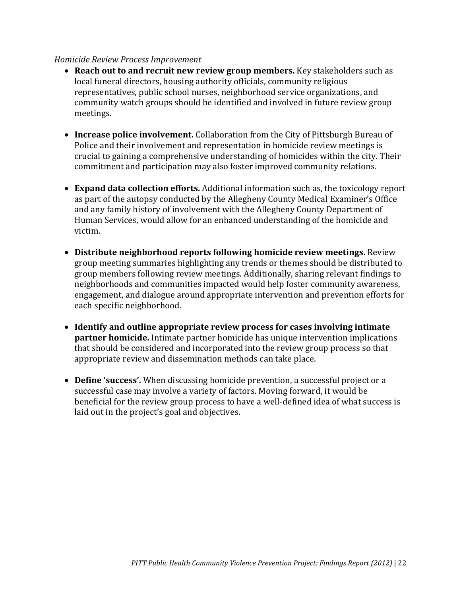#### <span id="page-29-0"></span>*Homicide Review Process Improvement*

- **Reach out to and recruit new review group members.** Key stakeholders such as local funeral directors, housing authority officials, community religious representatives, public school nurses, neighborhood service organizations, and community watch groups should be identified and involved in future review group meetings.
- **Increase police involvement.** Collaboration from the City of Pittsburgh Bureau of Police and their involvement and representation in homicide review meetings is crucial to gaining a comprehensive understanding of homicides within the city. Their commitment and participation may also foster improved community relations.
- **Expand data collection efforts.** Additional information such as, the toxicology report as part of the autopsy conducted by the Allegheny County Medical Examiner's Office and any family history of involvement with the Allegheny County Department of Human Services, would allow for an enhanced understanding of the homicide and victim.
- **Distribute neighborhood reports following homicide review meetings.** Review group meeting summaries highlighting any trends or themes should be distributed to group members following review meetings. Additionally, sharing relevant findings to neighborhoods and communities impacted would help foster community awareness, engagement, and dialogue around appropriate intervention and prevention efforts for each specific neighborhood.
- **Identify and outline appropriate review process for cases involving intimate partner homicide.** Intimate partner homicide has unique intervention implications that should be considered and incorporated into the review group process so that appropriate review and dissemination methods can take place.
- **Define 'success'.** When discussing homicide prevention, a successful project or a successful case may involve a variety of factors. Moving forward, it would be beneficial for the review group process to have a well-defined idea of what success is laid out in the project's goal and objectives.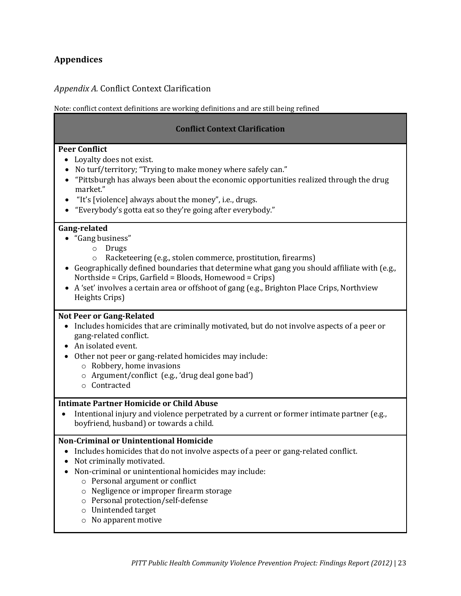#### <span id="page-30-0"></span>**Appendices**

#### <span id="page-30-1"></span>*Appendix A.* Conflict Context Clarification

Note: conflict context definitions are working definitions and are still being refined

#### **Conflict Context Clarification**

#### **Peer Conflict**

- Loyalty does not exist.
- No turf/territory; "Trying to make money where safely can."
- "Pittsburgh has always been about the economic opportunities realized through the drug market."
- "It's [violence] always about the money", i.e., drugs.
- "Everybody's gotta eat so they're going after everybody."

#### **Gang-related**

- "Gang business"
	- o Drugs
	- o Racketeering (e.g., stolen commerce, prostitution, firearms)
- Geographically defined boundaries that determine what gang you should affiliate with (e.g., Northside = Crips, Garfield = Bloods, Homewood = Crips)
- A 'set' involves a certain area or offshoot of gang (e.g., Brighton Place Crips, Northview Heights Crips)

#### **Not Peer or Gang-Related**

- Includes homicides that are criminally motivated, but do not involve aspects of a peer or gang-related conflict.
- An isolated event.
- Other not peer or gang-related homicides may include:
	- o Robbery, home invasions
	- o Argument/conflict (e.g., 'drug deal gone bad')
	- o Contracted

#### **Intimate Partner Homicide or Child Abuse**

 Intentional injury and violence perpetrated by a current or former intimate partner (e.g., boyfriend, husband) or towards a child.

#### **Non-Criminal or Unintentional Homicide**

- Includes homicides that do not involve aspects of a peer or gang-related conflict.
- Not criminally motivated.
- Non-criminal or unintentional homicides may include:
	- o Personal argument or conflict
	- o Negligence or improper firearm storage
	- o Personal protection/self-defense
	- o Unintended target
	- o No apparent motive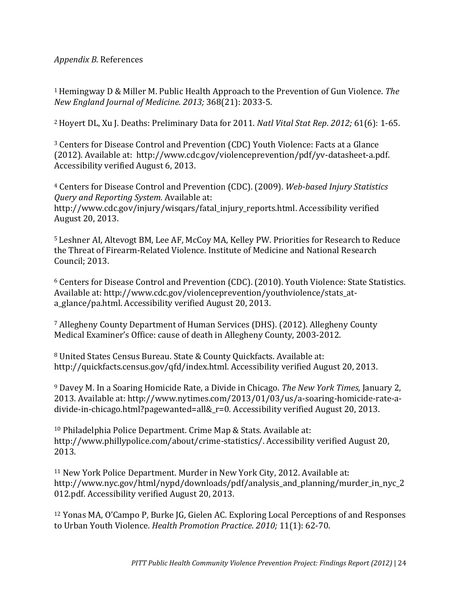#### <span id="page-31-0"></span>*Appendix B.* References

<sup>1</sup>Hemingway D & Miller M. Public Health Approach to the Prevention of Gun Violence. *The New England Journal of Medicine. 2013;* 368(21): 2033-5.

<sup>2</sup>Hoyert DL, Xu J. Deaths: Preliminary Data for 2011. *Natl Vital Stat Rep*. *2012;* 61(6): 1-65.

<sup>3</sup> Centers for Disease Control and Prevention (CDC) Youth Violence: Facts at a Glance (2012). Available at: http://www.cdc.gov/violenceprevention/pdf/yv-datasheet-a.pdf. Accessibility verified August 6, 2013.

<sup>4</sup> Centers for Disease Control and Prevention (CDC). (2009). *Web-based Injury Statistics Query and Reporting System.* Available at: http://www.cdc.gov/injury/wisqars/fatal\_injury\_reports.html. Accessibility verified August 20, 2013.

<sup>5</sup> Leshner AI, Altevogt BM, Lee AF, McCoy MA, Kelley PW. Priorities for Research to Reduce the Threat of Firearm-Related Violence. Institute of Medicine and National Research Council; 2013.

<sup>6</sup> Centers for Disease Control and Prevention (CDC). (2010). Youth Violence: State Statistics. Available at: http://www.cdc.gov/violenceprevention/youthviolence/stats\_ata\_glance/pa.html. Accessibility verified August 20, 2013.

<sup>7</sup> Allegheny County Department of Human Services (DHS). (2012). Allegheny County Medical Examiner's Office: cause of death in Allegheny County, 2003-2012.

<sup>8</sup> United States Census Bureau. State & County Quickfacts. Available at: http://quickfacts.census.gov/qfd/index.html. Accessibility verified August 20, 2013.

<sup>9</sup> Davey M. In a Soaring Homicide Rate, a Divide in Chicago. *The New York Times,* January 2, 2013. Available at: http://www.nytimes.com/2013/01/03/us/a-soaring-homicide-rate-adivide-in-chicago.html?pagewanted=all&\_r=0. Accessibility verified August 20, 2013.

<sup>10</sup> Philadelphia Police Department. Crime Map & Stats. Available at: http://www.phillypolice.com/about/crime-statistics/. Accessibility verified August 20, 2013.

<sup>11</sup> New York Police Department. Murder in New York City, 2012. Available at: http://www.nyc.gov/html/nypd/downloads/pdf/analysis\_and\_planning/murder\_in\_nyc\_2 012.pdf. Accessibility verified August 20, 2013.

<sup>12</sup> Yonas MA, O'Campo P, Burke JG, Gielen AC. Exploring Local Perceptions of and Responses to Urban Youth Violence. *Health Promotion Practice. 2010;* 11(1): 62-70.